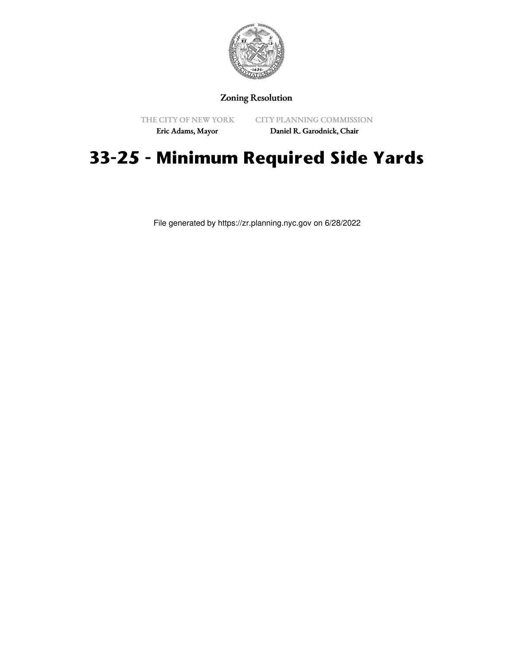

## Zoning Resolution

THE CITY OF NEW YORK

CITY PLANNING COMMISSION

Eric Adams, Mayor

Daniel R. Garodnick, Chair

## **33-25 - Minimum Required Side Yards**

File generated by https://zr.planning.nyc.gov on 6/28/2022